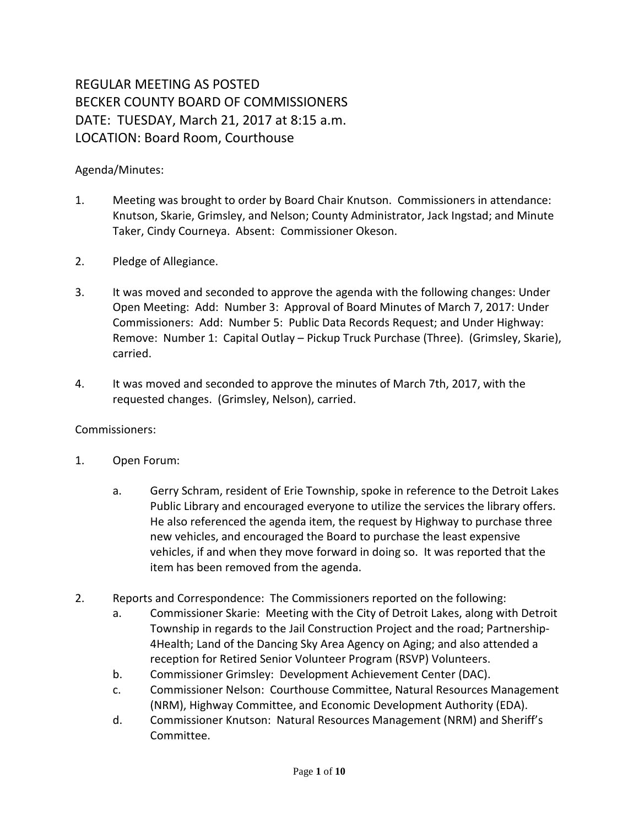# REGULAR MEETING AS POSTED BECKER COUNTY BOARD OF COMMISSIONERS DATE: TUESDAY, March 21, 2017 at 8:15 a.m. LOCATION: Board Room, Courthouse

### Agenda/Minutes:

- 1. Meeting was brought to order by Board Chair Knutson. Commissioners in attendance: Knutson, Skarie, Grimsley, and Nelson; County Administrator, Jack Ingstad; and Minute Taker, Cindy Courneya. Absent: Commissioner Okeson.
- 2. Pledge of Allegiance.
- 3. It was moved and seconded to approve the agenda with the following changes: Under Open Meeting: Add: Number 3: Approval of Board Minutes of March 7, 2017: Under Commissioners: Add: Number 5: Public Data Records Request; and Under Highway: Remove: Number 1: Capital Outlay – Pickup Truck Purchase (Three). (Grimsley, Skarie), carried.
- 4. It was moved and seconded to approve the minutes of March 7th, 2017, with the requested changes. (Grimsley, Nelson), carried.

#### Commissioners:

- 1. Open Forum:
	- a. Gerry Schram, resident of Erie Township, spoke in reference to the Detroit Lakes Public Library and encouraged everyone to utilize the services the library offers. He also referenced the agenda item, the request by Highway to purchase three new vehicles, and encouraged the Board to purchase the least expensive vehicles, if and when they move forward in doing so. It was reported that the item has been removed from the agenda.
- 2. Reports and Correspondence: The Commissioners reported on the following:
	- a. Commissioner Skarie: Meeting with the City of Detroit Lakes, along with Detroit Township in regards to the Jail Construction Project and the road; Partnership-4Health; Land of the Dancing Sky Area Agency on Aging; and also attended a reception for Retired Senior Volunteer Program (RSVP) Volunteers.
	- b. Commissioner Grimsley: Development Achievement Center (DAC).
	- c. Commissioner Nelson: Courthouse Committee, Natural Resources Management (NRM), Highway Committee, and Economic Development Authority (EDA).
	- d. Commissioner Knutson: Natural Resources Management (NRM) and Sheriff's Committee.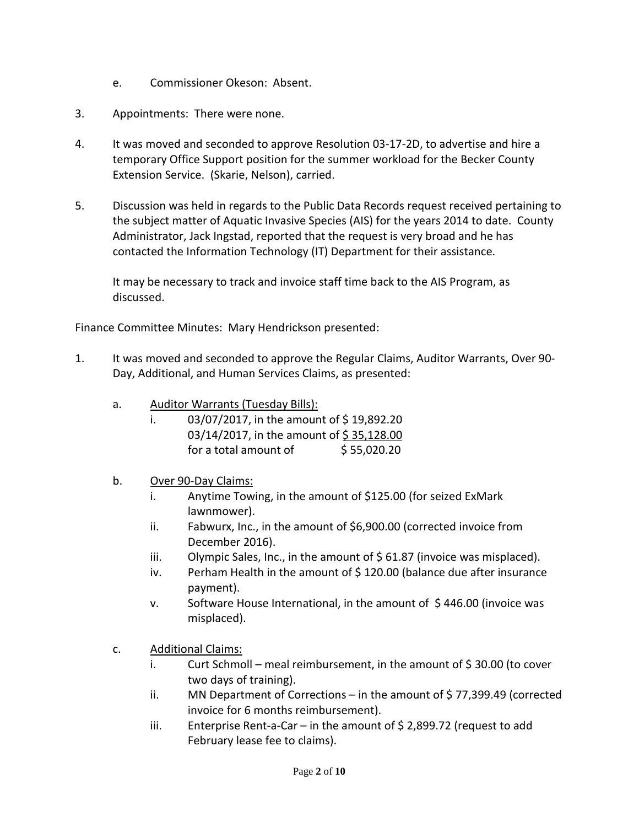- e. Commissioner Okeson: Absent.
- 3. Appointments: There were none.
- 4. It was moved and seconded to approve Resolution 03-17-2D, to advertise and hire a temporary Office Support position for the summer workload for the Becker County Extension Service. (Skarie, Nelson), carried.
- 5. Discussion was held in regards to the Public Data Records request received pertaining to the subject matter of Aquatic Invasive Species (AIS) for the years 2014 to date. County Administrator, Jack Ingstad, reported that the request is very broad and he has contacted the Information Technology (IT) Department for their assistance.

It may be necessary to track and invoice staff time back to the AIS Program, as discussed.

Finance Committee Minutes: Mary Hendrickson presented:

- 1. It was moved and seconded to approve the Regular Claims, Auditor Warrants, Over 90- Day, Additional, and Human Services Claims, as presented:
	- a. Auditor Warrants (Tuesday Bills):
		- i.  $03/07/2017$ , in the amount of \$19,892.20 03/14/2017, in the amount of \$35,128.00 for a total amount of  $\frac{55,020.20}{5}$

#### b. Over 90-Day Claims:

- i. Anytime Towing, in the amount of \$125.00 (for seized ExMark lawnmower).
- ii. Fabwurx, Inc., in the amount of \$6,900.00 (corrected invoice from December 2016).
- iii. Olympic Sales, Inc., in the amount of  $\frac{2}{5}$  61.87 (invoice was misplaced).
- iv. Perham Health in the amount of \$120.00 (balance due after insurance payment).
- v. Software House International, in the amount of \$446.00 (invoice was misplaced).
- c. Additional Claims:
	- i. Curt Schmoll meal reimbursement, in the amount of  $\frac{2}{3}$  30.00 (to cover two days of training).
	- ii. MN Department of Corrections in the amount of  $\frac{1}{2}$  77,399.49 (corrected invoice for 6 months reimbursement).
	- iii. Enterprise Rent-a-Car in the amount of  $\frac{2}{5}$  2,899.72 (request to add February lease fee to claims).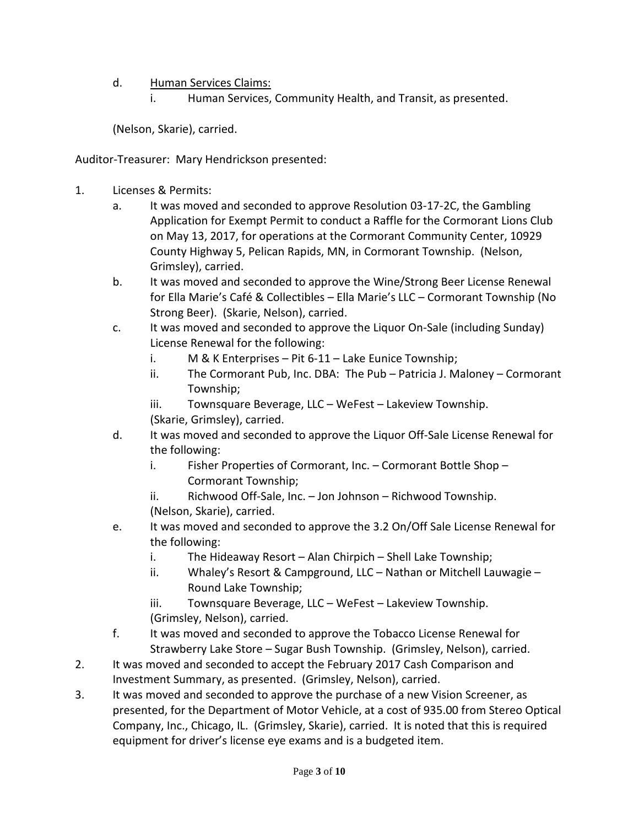## d. Human Services Claims:

i. Human Services, Community Health, and Transit, as presented.

(Nelson, Skarie), carried.

Auditor-Treasurer: Mary Hendrickson presented:

- 1. Licenses & Permits:
	- a. It was moved and seconded to approve Resolution 03-17-2C, the Gambling Application for Exempt Permit to conduct a Raffle for the Cormorant Lions Club on May 13, 2017, for operations at the Cormorant Community Center, 10929 County Highway 5, Pelican Rapids, MN, in Cormorant Township. (Nelson, Grimsley), carried.
	- b. It was moved and seconded to approve the Wine/Strong Beer License Renewal for Ella Marie's Café & Collectibles – Ella Marie's LLC – Cormorant Township (No Strong Beer). (Skarie, Nelson), carried.
	- c. It was moved and seconded to approve the Liquor On-Sale (including Sunday) License Renewal for the following:
		- i. M & K Enterprises Pit 6-11 Lake Eunice Township;
		- ii. The Cormorant Pub, Inc. DBA: The Pub Patricia J. Maloney Cormorant Township;
		- iii. Townsquare Beverage, LLC WeFest Lakeview Township. (Skarie, Grimsley), carried.
	- d. It was moved and seconded to approve the Liquor Off-Sale License Renewal for the following:
		- i. Fisher Properties of Cormorant, Inc. Cormorant Bottle Shop Cormorant Township;
		- ii. Richwood Off-Sale, Inc. Jon Johnson Richwood Township. (Nelson, Skarie), carried.
	- e. It was moved and seconded to approve the 3.2 On/Off Sale License Renewal for the following:
		- i. The Hideaway Resort Alan Chirpich Shell Lake Township;
		- ii. Whaley's Resort & Campground, LLC Nathan or Mitchell Lauwagie Round Lake Township;
		- iii. Townsquare Beverage, LLC WeFest Lakeview Township.
		- (Grimsley, Nelson), carried.
	- f. It was moved and seconded to approve the Tobacco License Renewal for Strawberry Lake Store – Sugar Bush Township. (Grimsley, Nelson), carried.
- 2. It was moved and seconded to accept the February 2017 Cash Comparison and Investment Summary, as presented. (Grimsley, Nelson), carried.
- 3. It was moved and seconded to approve the purchase of a new Vision Screener, as presented, for the Department of Motor Vehicle, at a cost of 935.00 from Stereo Optical Company, Inc., Chicago, IL. (Grimsley, Skarie), carried. It is noted that this is required equipment for driver's license eye exams and is a budgeted item.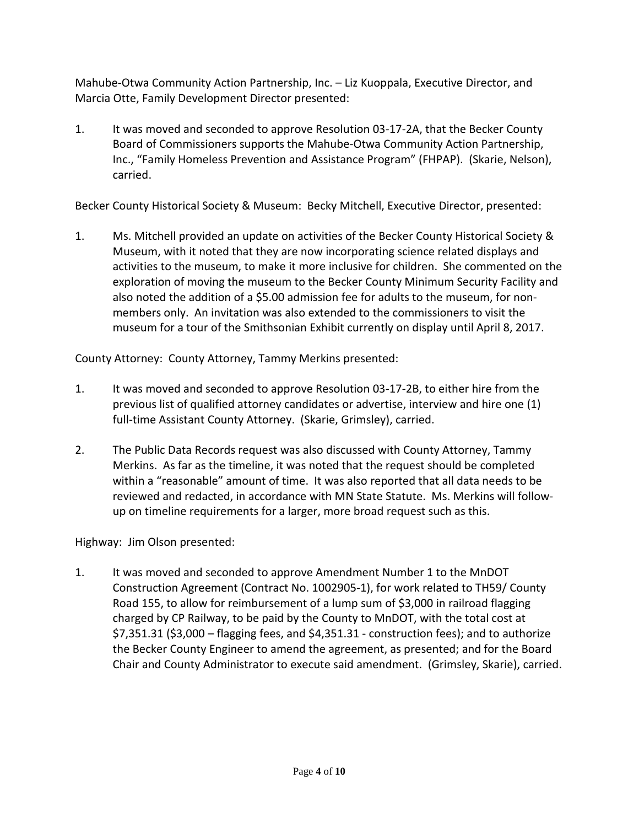Mahube-Otwa Community Action Partnership, Inc. – Liz Kuoppala, Executive Director, and Marcia Otte, Family Development Director presented:

1. It was moved and seconded to approve Resolution 03-17-2A, that the Becker County Board of Commissioners supports the Mahube-Otwa Community Action Partnership, Inc., "Family Homeless Prevention and Assistance Program" (FHPAP). (Skarie, Nelson), carried.

Becker County Historical Society & Museum: Becky Mitchell, Executive Director, presented:

1. Ms. Mitchell provided an update on activities of the Becker County Historical Society & Museum, with it noted that they are now incorporating science related displays and activities to the museum, to make it more inclusive for children. She commented on the exploration of moving the museum to the Becker County Minimum Security Facility and also noted the addition of a \$5.00 admission fee for adults to the museum, for nonmembers only. An invitation was also extended to the commissioners to visit the museum for a tour of the Smithsonian Exhibit currently on display until April 8, 2017.

County Attorney: County Attorney, Tammy Merkins presented:

- 1. It was moved and seconded to approve Resolution 03-17-2B, to either hire from the previous list of qualified attorney candidates or advertise, interview and hire one (1) full-time Assistant County Attorney. (Skarie, Grimsley), carried.
- 2. The Public Data Records request was also discussed with County Attorney, Tammy Merkins. As far as the timeline, it was noted that the request should be completed within a "reasonable" amount of time. It was also reported that all data needs to be reviewed and redacted, in accordance with MN State Statute. Ms. Merkins will followup on timeline requirements for a larger, more broad request such as this.

Highway: Jim Olson presented:

1. It was moved and seconded to approve Amendment Number 1 to the MnDOT Construction Agreement (Contract No. 1002905-1), for work related to TH59/ County Road 155, to allow for reimbursement of a lump sum of \$3,000 in railroad flagging charged by CP Railway, to be paid by the County to MnDOT, with the total cost at \$7,351.31 (\$3,000 – flagging fees, and \$4,351.31 - construction fees); and to authorize the Becker County Engineer to amend the agreement, as presented; and for the Board Chair and County Administrator to execute said amendment. (Grimsley, Skarie), carried.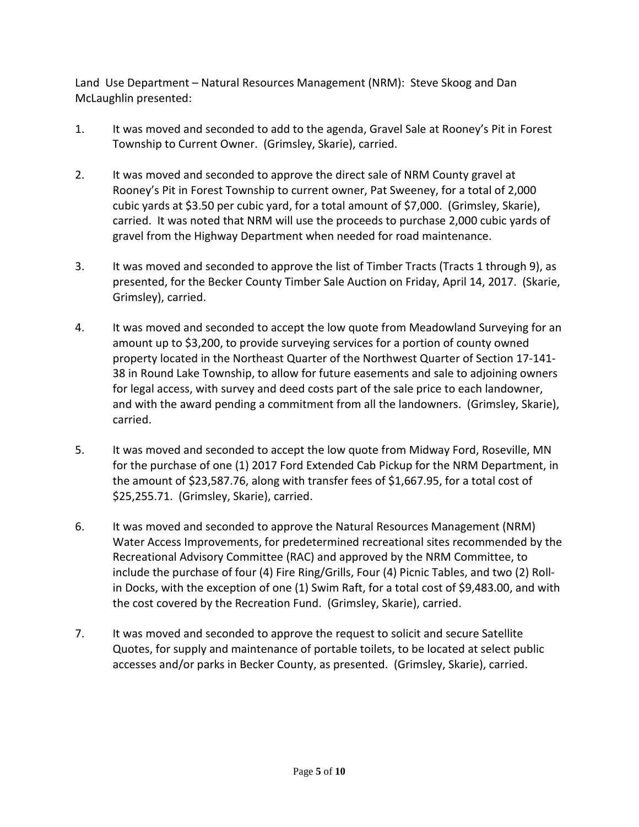Land Use Department – Natural Resources Management (NRM): Steve Skoog and Dan McLaughlin presented:

- 1. It was moved and seconded to add to the agenda, Gravel Sale at Rooney's Pit in Forest Township to Current Owner. (Grimsley, Skarie), carried.
- 2. It was moved and seconded to approve the direct sale of NRM County gravel at Rooney's Pit in Forest Township to current owner, Pat Sweeney, for a total of 2,000 cubic yards at \$3.50 per cubic yard, for a total amount of \$7,000. (Grimsley, Skarie), carried. It was noted that NRM will use the proceeds to purchase 2,000 cubic yards of gravel from the Highway Department when needed for road maintenance.
- 3. It was moved and seconded to approve the list of Timber Tracts (Tracts 1 through 9), as presented, for the Becker County Timber Sale Auction on Friday, April 14, 2017. (Skarie, Grimsley), carried.
- 4. It was moved and seconded to accept the low quote from Meadowland Surveying for an amount up to \$3,200, to provide surveying services for a portion of county owned property located in the Northeast Quarter of the Northwest Quarter of Section 17-141- 38 in Round Lake Township, to allow for future easements and sale to adjoining owners for legal access, with survey and deed costs part of the sale price to each landowner, and with the award pending a commitment from all the landowners. (Grimsley, Skarie), carried.
- 5. It was moved and seconded to accept the low quote from Midway Ford, Roseville, MN for the purchase of one (1) 2017 Ford Extended Cab Pickup for the NRM Department, in the amount of \$23,587.76, along with transfer fees of \$1,667.95, for a total cost of \$25,255.71. (Grimsley, Skarie), carried.
- 6. It was moved and seconded to approve the Natural Resources Management (NRM) Water Access Improvements, for predetermined recreational sites recommended by the Recreational Advisory Committee (RAC) and approved by the NRM Committee, to include the purchase of four (4) Fire Ring/Grills, Four (4) Picnic Tables, and two (2) Rollin Docks, with the exception of one (1) Swim Raft, for a total cost of \$9,483.00, and with the cost covered by the Recreation Fund. (Grimsley, Skarie), carried.
- 7. It was moved and seconded to approve the request to solicit and secure Satellite Quotes, for supply and maintenance of portable toilets, to be located at select public accesses and/or parks in Becker County, as presented. (Grimsley, Skarie), carried.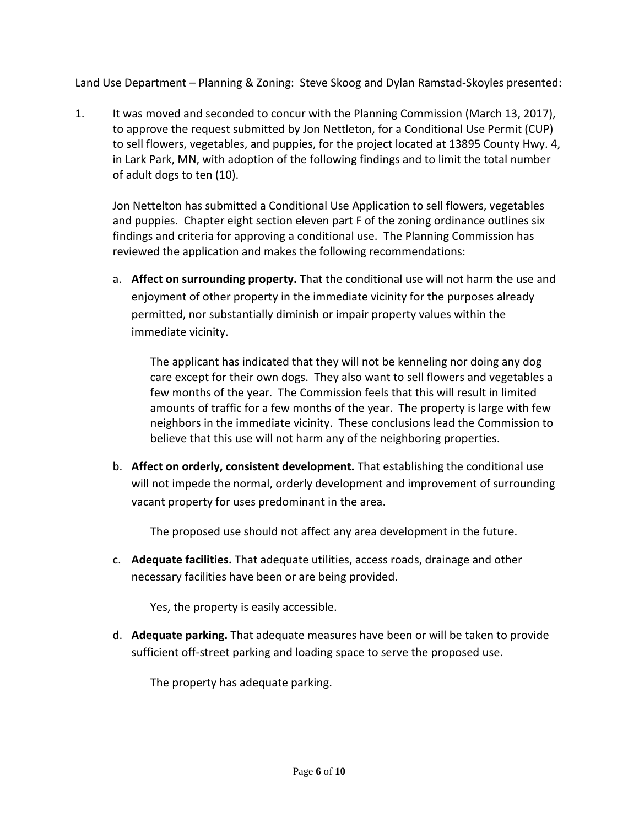Land Use Department – Planning & Zoning: Steve Skoog and Dylan Ramstad-Skoyles presented:

1. It was moved and seconded to concur with the Planning Commission (March 13, 2017), to approve the request submitted by Jon Nettleton, for a Conditional Use Permit (CUP) to sell flowers, vegetables, and puppies, for the project located at 13895 County Hwy. 4, in Lark Park, MN, with adoption of the following findings and to limit the total number of adult dogs to ten (10).

Jon Nettelton has submitted a Conditional Use Application to sell flowers, vegetables and puppies. Chapter eight section eleven part F of the zoning ordinance outlines six findings and criteria for approving a conditional use. The Planning Commission has reviewed the application and makes the following recommendations:

a. **Affect on surrounding property.** That the conditional use will not harm the use and enjoyment of other property in the immediate vicinity for the purposes already permitted, nor substantially diminish or impair property values within the immediate vicinity.

The applicant has indicated that they will not be kenneling nor doing any dog care except for their own dogs. They also want to sell flowers and vegetables a few months of the year. The Commission feels that this will result in limited amounts of traffic for a few months of the year. The property is large with few neighbors in the immediate vicinity. These conclusions lead the Commission to believe that this use will not harm any of the neighboring properties.

b. **Affect on orderly, consistent development.** That establishing the conditional use will not impede the normal, orderly development and improvement of surrounding vacant property for uses predominant in the area.

The proposed use should not affect any area development in the future.

c. **Adequate facilities.** That adequate utilities, access roads, drainage and other necessary facilities have been or are being provided.

Yes, the property is easily accessible.

d. **Adequate parking.** That adequate measures have been or will be taken to provide sufficient off-street parking and loading space to serve the proposed use.

The property has adequate parking.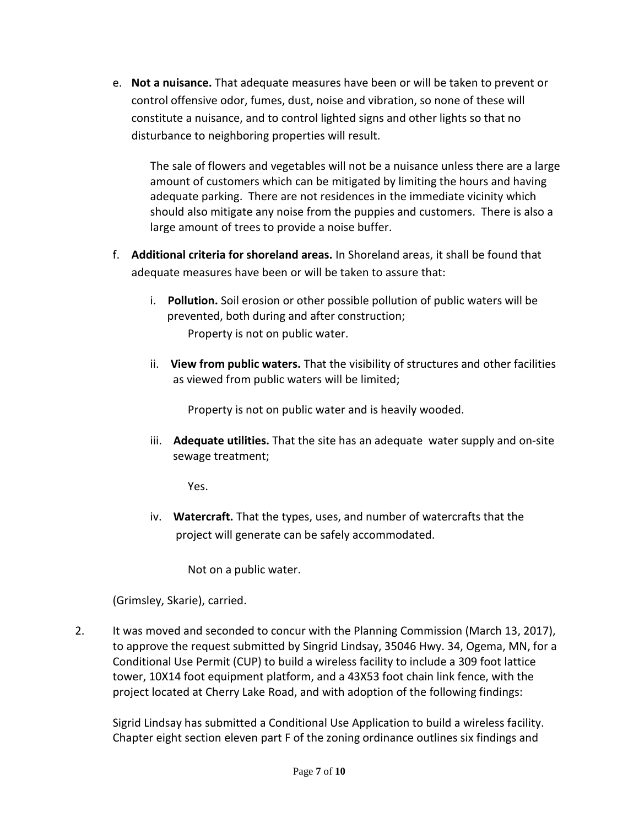e. **Not a nuisance.** That adequate measures have been or will be taken to prevent or control offensive odor, fumes, dust, noise and vibration, so none of these will constitute a nuisance, and to control lighted signs and other lights so that no disturbance to neighboring properties will result.

The sale of flowers and vegetables will not be a nuisance unless there are a large amount of customers which can be mitigated by limiting the hours and having adequate parking. There are not residences in the immediate vicinity which should also mitigate any noise from the puppies and customers. There is also a large amount of trees to provide a noise buffer.

- f. **Additional criteria for shoreland areas.** In Shoreland areas, it shall be found that adequate measures have been or will be taken to assure that:
	- i. **Pollution.** Soil erosion or other possible pollution of public waters will be prevented, both during and after construction; Property is not on public water.
	- ii. **View from public waters.** That the visibility of structures and other facilities as viewed from public waters will be limited;

Property is not on public water and is heavily wooded.

iii. **Adequate utilities.** That the site has an adequate water supply and on-site sewage treatment;

Yes.

iv. **Watercraft.** That the types, uses, and number of watercrafts that the project will generate can be safely accommodated.

Not on a public water.

(Grimsley, Skarie), carried.

2. It was moved and seconded to concur with the Planning Commission (March 13, 2017), to approve the request submitted by Singrid Lindsay, 35046 Hwy. 34, Ogema, MN, for a Conditional Use Permit (CUP) to build a wireless facility to include a 309 foot lattice tower, 10X14 foot equipment platform, and a 43X53 foot chain link fence, with the project located at Cherry Lake Road, and with adoption of the following findings:

Sigrid Lindsay has submitted a Conditional Use Application to build a wireless facility. Chapter eight section eleven part F of the zoning ordinance outlines six findings and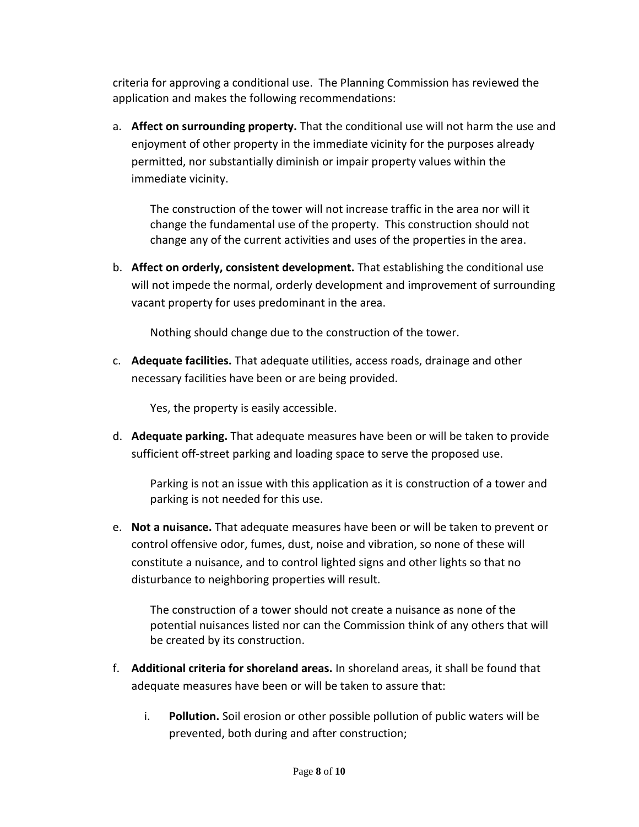criteria for approving a conditional use. The Planning Commission has reviewed the application and makes the following recommendations:

a. **Affect on surrounding property.** That the conditional use will not harm the use and enjoyment of other property in the immediate vicinity for the purposes already permitted, nor substantially diminish or impair property values within the immediate vicinity.

The construction of the tower will not increase traffic in the area nor will it change the fundamental use of the property. This construction should not change any of the current activities and uses of the properties in the area.

b. **Affect on orderly, consistent development.** That establishing the conditional use will not impede the normal, orderly development and improvement of surrounding vacant property for uses predominant in the area.

Nothing should change due to the construction of the tower.

c. **Adequate facilities.** That adequate utilities, access roads, drainage and other necessary facilities have been or are being provided.

Yes, the property is easily accessible.

d. **Adequate parking.** That adequate measures have been or will be taken to provide sufficient off-street parking and loading space to serve the proposed use.

Parking is not an issue with this application as it is construction of a tower and parking is not needed for this use.

e. **Not a nuisance.** That adequate measures have been or will be taken to prevent or control offensive odor, fumes, dust, noise and vibration, so none of these will constitute a nuisance, and to control lighted signs and other lights so that no disturbance to neighboring properties will result.

The construction of a tower should not create a nuisance as none of the potential nuisances listed nor can the Commission think of any others that will be created by its construction.

- f. **Additional criteria for shoreland areas.** In shoreland areas, it shall be found that adequate measures have been or will be taken to assure that:
	- i. **Pollution.** Soil erosion or other possible pollution of public waters will be prevented, both during and after construction;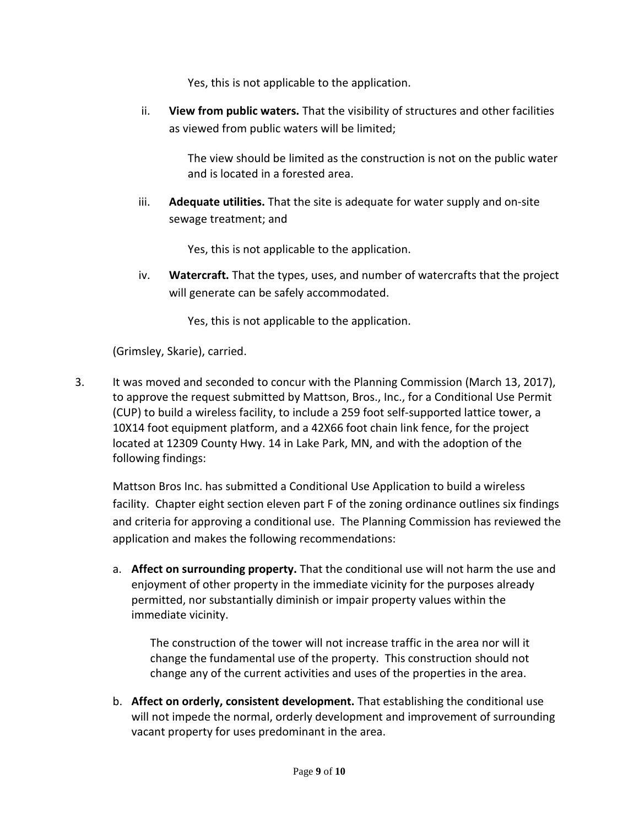Yes, this is not applicable to the application.

ii. **View from public waters.** That the visibility of structures and other facilities as viewed from public waters will be limited;

> The view should be limited as the construction is not on the public water and is located in a forested area.

iii. **Adequate utilities.** That the site is adequate for water supply and on-site sewage treatment; and

Yes, this is not applicable to the application.

iv. **Watercraft.** That the types, uses, and number of watercrafts that the project will generate can be safely accommodated.

Yes, this is not applicable to the application.

(Grimsley, Skarie), carried.

3. It was moved and seconded to concur with the Planning Commission (March 13, 2017), to approve the request submitted by Mattson, Bros., Inc., for a Conditional Use Permit (CUP) to build a wireless facility, to include a 259 foot self-supported lattice tower, a 10X14 foot equipment platform, and a 42X66 foot chain link fence, for the project located at 12309 County Hwy. 14 in Lake Park, MN, and with the adoption of the following findings:

Mattson Bros Inc. has submitted a Conditional Use Application to build a wireless facility. Chapter eight section eleven part F of the zoning ordinance outlines six findings and criteria for approving a conditional use. The Planning Commission has reviewed the application and makes the following recommendations:

a. **Affect on surrounding property.** That the conditional use will not harm the use and enjoyment of other property in the immediate vicinity for the purposes already permitted, nor substantially diminish or impair property values within the immediate vicinity.

The construction of the tower will not increase traffic in the area nor will it change the fundamental use of the property. This construction should not change any of the current activities and uses of the properties in the area.

b. **Affect on orderly, consistent development.** That establishing the conditional use will not impede the normal, orderly development and improvement of surrounding vacant property for uses predominant in the area.